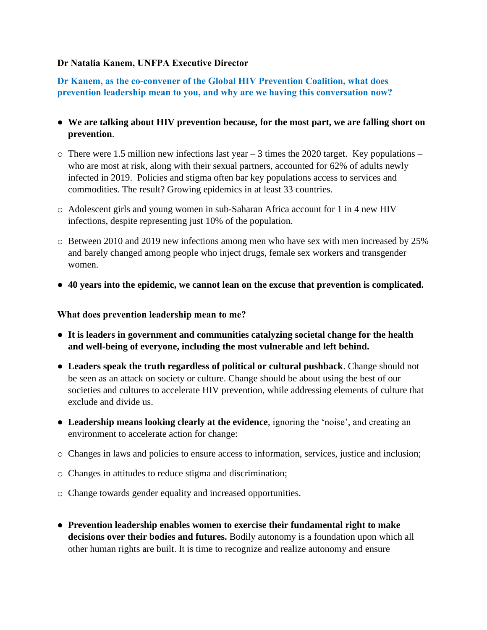## **Dr Natalia Kanem, UNFPA Executive Director**

**Dr Kanem, as the co-convener of the Global HIV Prevention Coalition, what does prevention leadership mean to you, and why are we having this conversation now?** 

- **We are talking about HIV prevention because, for the most part, we are falling short on prevention**.
- $\circ$  There were 1.5 million new infections last year 3 times the 2020 target. Key populations who are most at risk, along with their sexual partners, accounted for 62% of adults newly infected in 2019. Policies and stigma often bar key populations access to services and commodities. The result? Growing epidemics in at least 33 countries.
- o Adolescent girls and young women in sub-Saharan Africa account for 1 in 4 new HIV infections, despite representing just 10% of the population.
- o Between 2010 and 2019 new infections among men who have sex with men increased by 25% and barely changed among people who inject drugs, female sex workers and transgender women.
- **40 years into the epidemic, we cannot lean on the excuse that prevention is complicated.**

**What does prevention leadership mean to me?**

- **It is leaders in government and communities catalyzing societal change for the health and well-being of everyone, including the most vulnerable and left behind.**
- **Leaders speak the truth regardless of political or cultural pushback**. Change should not be seen as an attack on society or culture. Change should be about using the best of our societies and cultures to accelerate HIV prevention, while addressing elements of culture that exclude and divide us.
- **Leadership means looking clearly at the evidence**, ignoring the 'noise', and creating an environment to accelerate action for change:
- o Changes in laws and policies to ensure access to information, services, justice and inclusion;
- o Changes in attitudes to reduce stigma and discrimination;
- o Change towards gender equality and increased opportunities.
- **Prevention leadership enables women to exercise their fundamental right to make decisions over their bodies and futures.** Bodily autonomy is a foundation upon which all other human rights are built. It is time to recognize and realize autonomy and ensure